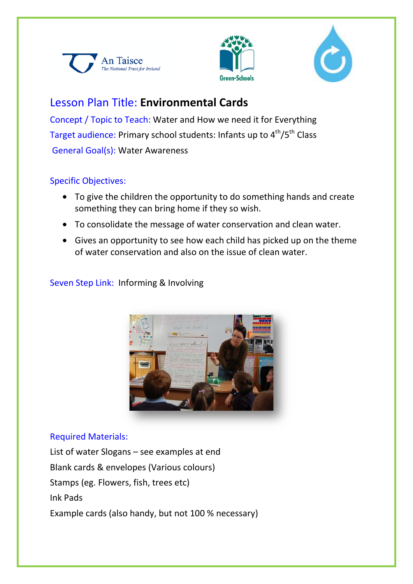





# Lesson Plan Title: **Environmental Cards**

Concept / Topic to Teach: Water and How we need it for Everything Target audience: Primary school students: Infants up to 4<sup>th</sup>/5<sup>th</sup> Class General Goal(s): Water Awareness

### Specific Objectives:

- To give the children the opportunity to do something hands and create something they can bring home if they so wish.
- To consolidate the message of water conservation and clean water.
- Gives an opportunity to see how each child has picked up on the theme of water conservation and also on the issue of clean water.

# Seven Step Link: Informing & Involving



### Required Materials:

List of water Slogans – see examples at end Blank cards & envelopes (Various colours) Stamps (eg. Flowers, fish, trees etc) Ink Pads Example cards (also handy, but not 100 % necessary)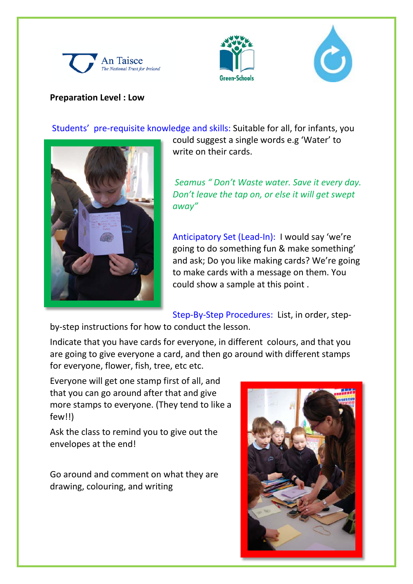





#### **Preparation Level : Low**

Students' pre-requisite knowledge and skills: Suitable for all, for infants, you



could suggest a single words e.g 'Water' to write on their cards.

*Seamus " Don't Waste water. Save it every day. Don't leave the tap on, or else it will get swept away"*

Anticipatory Set (Lead-In): I would say 'we're going to do something fun & make something' and ask; Do you like making cards? We're going to make cards with a message on them. You could show a sample at this point .

Step-By-Step Procedures: List, in order, step-

by-step instructions for how to conduct the lesson.

Indicate that you have cards for everyone, in different colours, and that you are going to give everyone a card, and then go around with different stamps for everyone, flower, fish, tree, etc etc.

Everyone will get one stamp first of all, and that you can go around after that and give more stamps to everyone. (They tend to like a few!!)

Ask the class to remind you to give out the envelopes at the end!

Go around and comment on what they are drawing, colouring, and writing

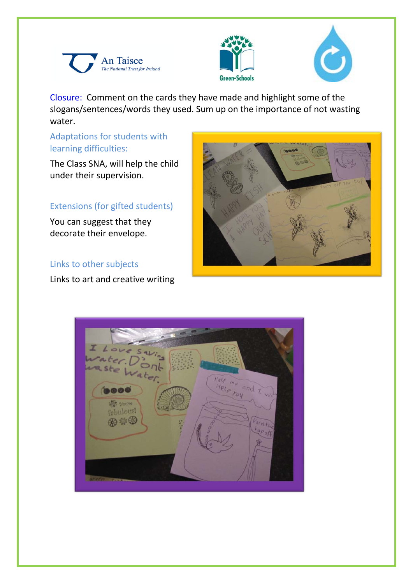





Closure: Comment on the cards they have made and highlight some of the slogans/sentences/words they used. Sum up on the importance of not wasting water.

# Adaptations for students with learning difficulties:

The Class SNA, will help the child under their supervision.

# Extensions (for gifted students)

You can suggest that they decorate their envelope.

### Links to other subjects

Links to art and creative writing